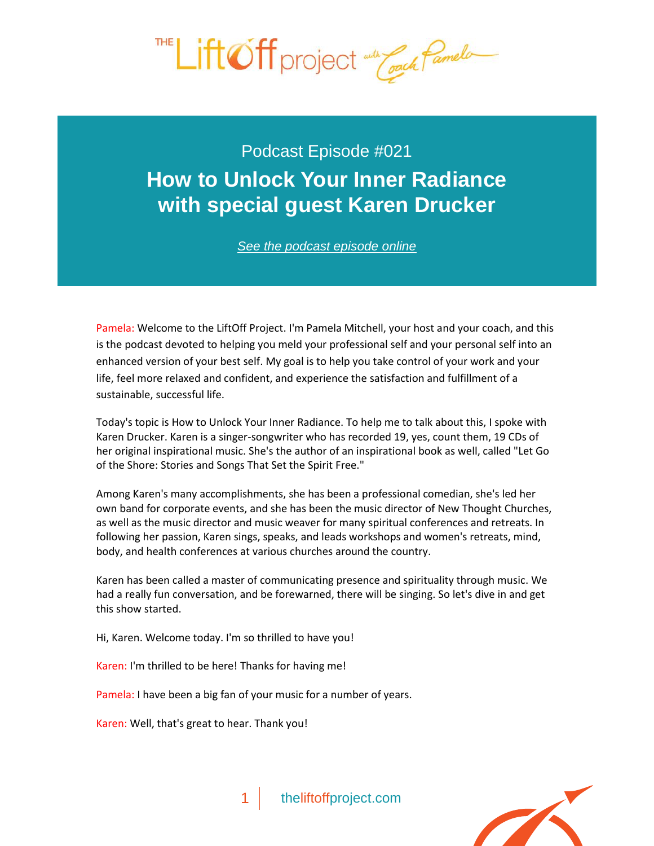

Podcast Episode #021 **[How to Unlock Your Inner Radiance](http://theliftoffproject.com/unlock-inner-radiance/)  with special guest Karen Drucker**

*See the podcast episode online*

Pamela: Welcome to the LiftOff Project. I'm Pamela Mitchell, your host and your coach, and this is the podcast devoted to helping you meld your professional self and your personal self into an enhanced version of your best self. My goal is to help you take control of your work and your life, feel more relaxed and confident, and experience the satisfaction and fulfillment of a sustainable, successful life.

Today's topic is How to Unlock Your Inner Radiance. To help me to talk about this, I spoke with Karen Drucker. Karen is a singer-songwriter who has recorded 19, yes, count them, 19 CDs of her original inspirational music. She's the author of an inspirational book as well, called "Let Go of the Shore: Stories and Songs That Set the Spirit Free."

Among Karen's many accomplishments, she has been a professional comedian, she's led her own band for corporate events, and she has been the music director of New Thought Churches, as well as the music director and music weaver for many spiritual conferences and retreats. In following her passion, Karen sings, speaks, and leads workshops and women's retreats, mind, body, and health conferences at various churches around the country.

Karen has been called a master of communicating presence and spirituality through music. We had a really fun conversation, and be forewarned, there will be singing. So let's dive in and get this show started.

Hi, Karen. Welcome today. I'm so thrilled to have you!

Karen: I'm thrilled to be here! Thanks for having me!

Pamela: I have been a big fan of your music for a number of years.

Karen: Well, that's great to hear. Thank you!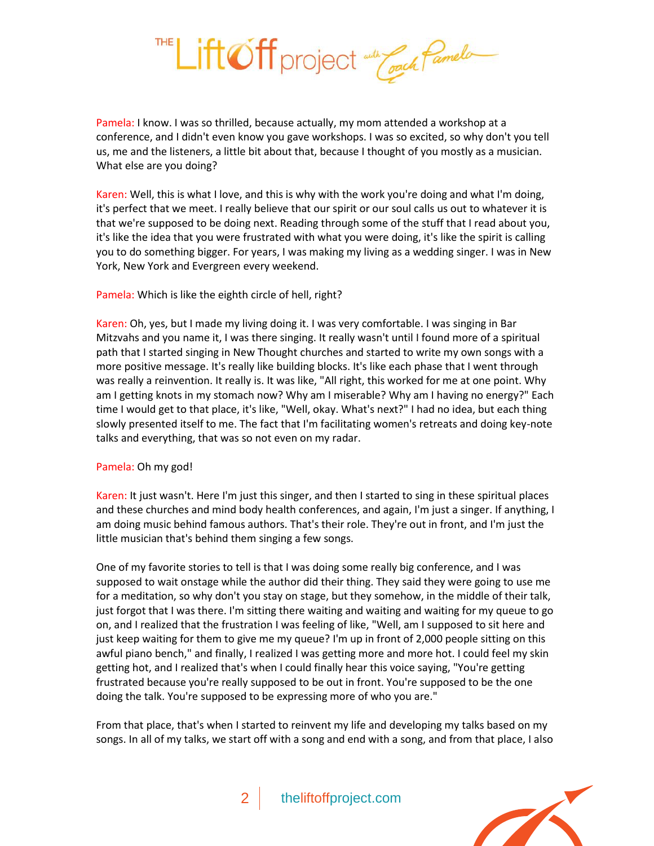

Pamela: I know. I was so thrilled, because actually, my mom attended a workshop at a conference, and I didn't even know you gave workshops. I was so excited, so why don't you tell us, me and the listeners, a little bit about that, because I thought of you mostly as a musician. What else are you doing?

Karen: Well, this is what I love, and this is why with the work you're doing and what I'm doing, it's perfect that we meet. I really believe that our spirit or our soul calls us out to whatever it is that we're supposed to be doing next. Reading through some of the stuff that I read about you, it's like the idea that you were frustrated with what you were doing, it's like the spirit is calling you to do something bigger. For years, I was making my living as a wedding singer. I was in New York, New York and Evergreen every weekend.

Pamela: Which is like the eighth circle of hell, right?

Karen: Oh, yes, but I made my living doing it. I was very comfortable. I was singing in Bar Mitzvahs and you name it, I was there singing. It really wasn't until I found more of a spiritual path that I started singing in New Thought churches and started to write my own songs with a more positive message. It's really like building blocks. It's like each phase that I went through was really a reinvention. It really is. It was like, "All right, this worked for me at one point. Why am I getting knots in my stomach now? Why am I miserable? Why am I having no energy?" Each time I would get to that place, it's like, "Well, okay. What's next?" I had no idea, but each thing slowly presented itself to me. The fact that I'm facilitating women's retreats and doing key-note talks and everything, that was so not even on my radar.

## Pamela: Oh my god!

Karen: It just wasn't. Here I'm just this singer, and then I started to sing in these spiritual places and these churches and mind body health conferences, and again, I'm just a singer. If anything, I am doing music behind famous authors. That's their role. They're out in front, and I'm just the little musician that's behind them singing a few songs.

One of my favorite stories to tell is that I was doing some really big conference, and I was supposed to wait onstage while the author did their thing. They said they were going to use me for a meditation, so why don't you stay on stage, but they somehow, in the middle of their talk, just forgot that I was there. I'm sitting there waiting and waiting and waiting for my queue to go on, and I realized that the frustration I was feeling of like, "Well, am I supposed to sit here and just keep waiting for them to give me my queue? I'm up in front of 2,000 people sitting on this awful piano bench," and finally, I realized I was getting more and more hot. I could feel my skin getting hot, and I realized that's when I could finally hear this voice saying, "You're getting frustrated because you're really supposed to be out in front. You're supposed to be the one doing the talk. You're supposed to be expressing more of who you are."

From that place, that's when I started to reinvent my life and developing my talks based on my songs. In all of my talks, we start off with a song and end with a song, and from that place, I also

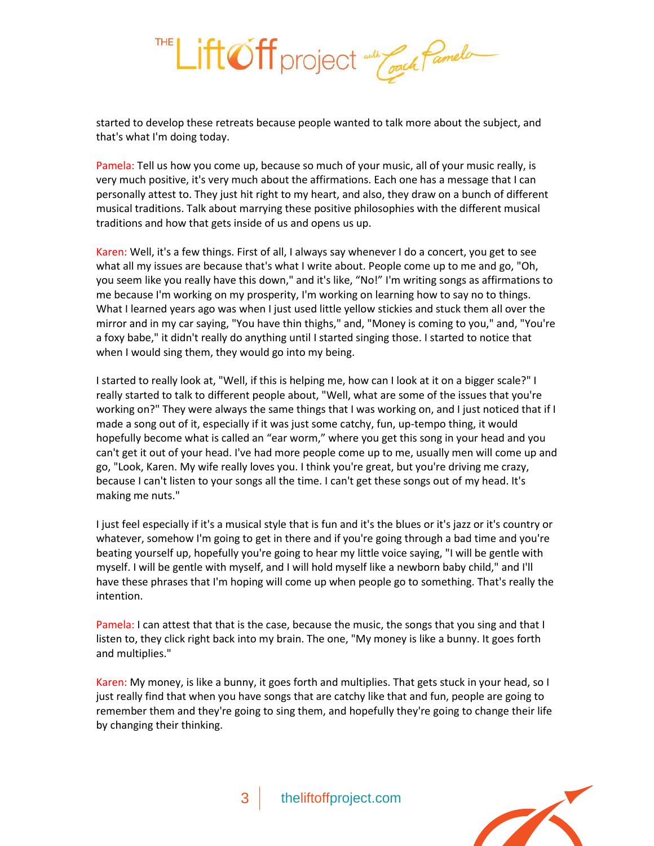

started to develop these retreats because people wanted to talk more about the subject, and that's what I'm doing today.

Pamela: Tell us how you come up, because so much of your music, all of your music really, is very much positive, it's very much about the affirmations. Each one has a message that I can personally attest to. They just hit right to my heart, and also, they draw on a bunch of different musical traditions. Talk about marrying these positive philosophies with the different musical traditions and how that gets inside of us and opens us up.

Karen: Well, it's a few things. First of all, I always say whenever I do a concert, you get to see what all my issues are because that's what I write about. People come up to me and go, "Oh, you seem like you really have this down," and it's like, "No!" I'm writing songs as affirmations to me because I'm working on my prosperity, I'm working on learning how to say no to things. What I learned years ago was when I just used little yellow stickies and stuck them all over the mirror and in my car saying, "You have thin thighs," and, "Money is coming to you," and, "You're a foxy babe," it didn't really do anything until I started singing those. I started to notice that when I would sing them, they would go into my being.

I started to really look at, "Well, if this is helping me, how can I look at it on a bigger scale?" I really started to talk to different people about, "Well, what are some of the issues that you're working on?" They were always the same things that I was working on, and I just noticed that if I made a song out of it, especially if it was just some catchy, fun, up-tempo thing, it would hopefully become what is called an "ear worm," where you get this song in your head and you can't get it out of your head. I've had more people come up to me, usually men will come up and go, "Look, Karen. My wife really loves you. I think you're great, but you're driving me crazy, because I can't listen to your songs all the time. I can't get these songs out of my head. It's making me nuts."

I just feel especially if it's a musical style that is fun and it's the blues or it's jazz or it's country or whatever, somehow I'm going to get in there and if you're going through a bad time and you're beating yourself up, hopefully you're going to hear my little voice saying, "I will be gentle with myself. I will be gentle with myself, and I will hold myself like a newborn baby child," and I'll have these phrases that I'm hoping will come up when people go to something. That's really the intention.

Pamela: I can attest that that is the case, because the music, the songs that you sing and that I listen to, they click right back into my brain. The one, "My money is like a bunny. It goes forth and multiplies."

Karen: My money, is like a bunny, it goes forth and multiplies. That gets stuck in your head, so I just really find that when you have songs that are catchy like that and fun, people are going to remember them and they're going to sing them, and hopefully they're going to change their life by changing their thinking.

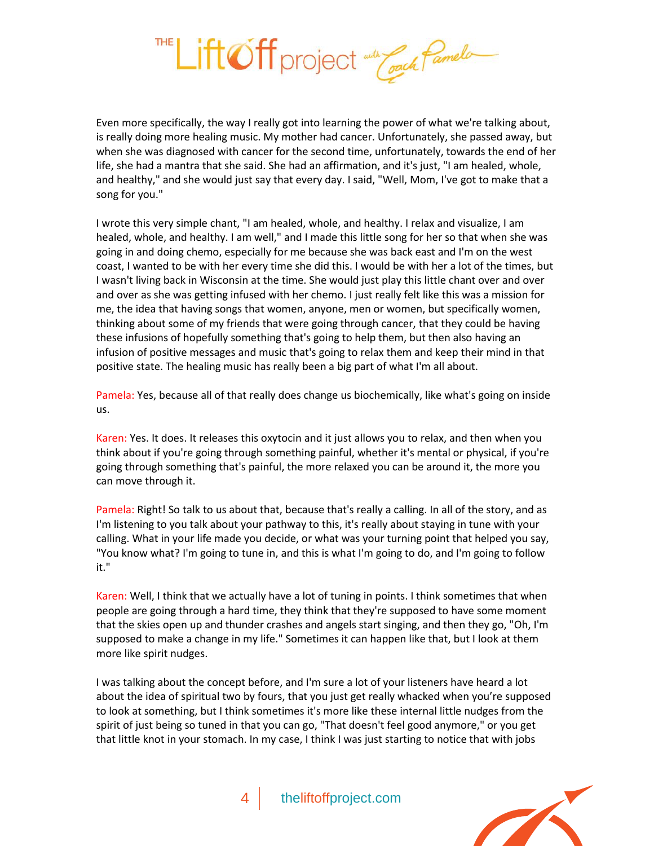

Even more specifically, the way I really got into learning the power of what we're talking about, is really doing more healing music. My mother had cancer. Unfortunately, she passed away, but when she was diagnosed with cancer for the second time, unfortunately, towards the end of her life, she had a mantra that she said. She had an affirmation, and it's just, "I am healed, whole, and healthy," and she would just say that every day. I said, "Well, Mom, I've got to make that a song for you."

I wrote this very simple chant, "I am healed, whole, and healthy. I relax and visualize, I am healed, whole, and healthy. I am well," and I made this little song for her so that when she was going in and doing chemo, especially for me because she was back east and I'm on the west coast, I wanted to be with her every time she did this. I would be with her a lot of the times, but I wasn't living back in Wisconsin at the time. She would just play this little chant over and over and over as she was getting infused with her chemo. I just really felt like this was a mission for me, the idea that having songs that women, anyone, men or women, but specifically women, thinking about some of my friends that were going through cancer, that they could be having these infusions of hopefully something that's going to help them, but then also having an infusion of positive messages and music that's going to relax them and keep their mind in that positive state. The healing music has really been a big part of what I'm all about.

Pamela: Yes, because all of that really does change us biochemically, like what's going on inside us.

Karen: Yes. It does. It releases this oxytocin and it just allows you to relax, and then when you think about if you're going through something painful, whether it's mental or physical, if you're going through something that's painful, the more relaxed you can be around it, the more you can move through it.

Pamela: Right! So talk to us about that, because that's really a calling. In all of the story, and as I'm listening to you talk about your pathway to this, it's really about staying in tune with your calling. What in your life made you decide, or what was your turning point that helped you say, "You know what? I'm going to tune in, and this is what I'm going to do, and I'm going to follow it."

Karen: Well, I think that we actually have a lot of tuning in points. I think sometimes that when people are going through a hard time, they think that they're supposed to have some moment that the skies open up and thunder crashes and angels start singing, and then they go, "Oh, I'm supposed to make a change in my life." Sometimes it can happen like that, but I look at them more like spirit nudges.

I was talking about the concept before, and I'm sure a lot of your listeners have heard a lot about the idea of spiritual two by fours, that you just get really whacked when you're supposed to look at something, but I think sometimes it's more like these internal little nudges from the spirit of just being so tuned in that you can go, "That doesn't feel good anymore," or you get that little knot in your stomach. In my case, I think I was just starting to notice that with jobs

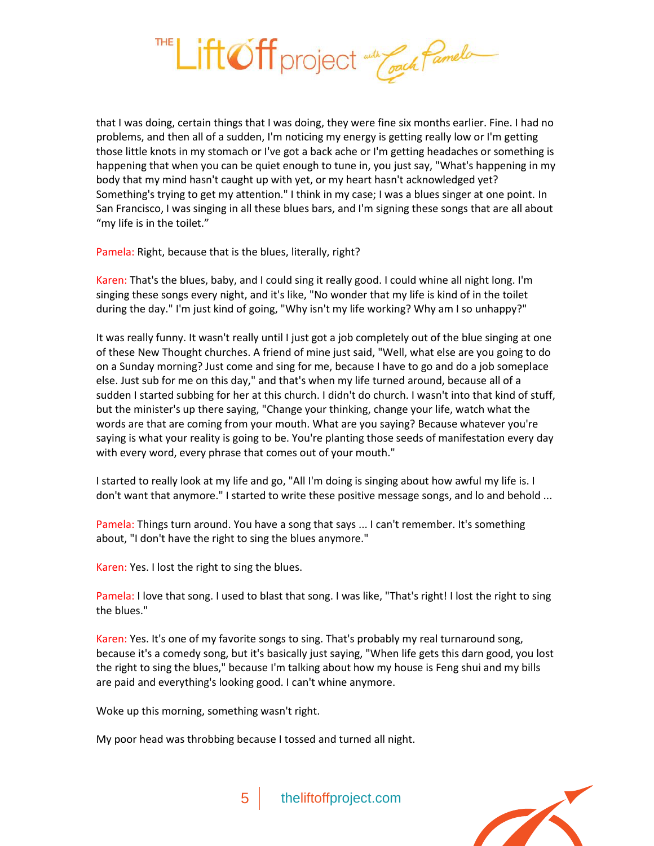

that I was doing, certain things that I was doing, they were fine six months earlier. Fine. I had no problems, and then all of a sudden, I'm noticing my energy is getting really low or I'm getting those little knots in my stomach or I've got a back ache or I'm getting headaches or something is happening that when you can be quiet enough to tune in, you just say, "What's happening in my body that my mind hasn't caught up with yet, or my heart hasn't acknowledged yet? Something's trying to get my attention." I think in my case; I was a blues singer at one point. In San Francisco, I was singing in all these blues bars, and I'm signing these songs that are all about "my life is in the toilet."

Pamela: Right, because that is the blues, literally, right?

Karen: That's the blues, baby, and I could sing it really good. I could whine all night long. I'm singing these songs every night, and it's like, "No wonder that my life is kind of in the toilet during the day." I'm just kind of going, "Why isn't my life working? Why am I so unhappy?"

It was really funny. It wasn't really until I just got a job completely out of the blue singing at one of these New Thought churches. A friend of mine just said, "Well, what else are you going to do on a Sunday morning? Just come and sing for me, because I have to go and do a job someplace else. Just sub for me on this day," and that's when my life turned around, because all of a sudden I started subbing for her at this church. I didn't do church. I wasn't into that kind of stuff, but the minister's up there saying, "Change your thinking, change your life, watch what the words are that are coming from your mouth. What are you saying? Because whatever you're saying is what your reality is going to be. You're planting those seeds of manifestation every day with every word, every phrase that comes out of your mouth."

I started to really look at my life and go, "All I'm doing is singing about how awful my life is. I don't want that anymore." I started to write these positive message songs, and lo and behold ...

Pamela: Things turn around. You have a song that says ... I can't remember. It's something about, "I don't have the right to sing the blues anymore."

Karen: Yes. I lost the right to sing the blues.

Pamela: I love that song. I used to blast that song. I was like, "That's right! I lost the right to sing the blues."

Karen: Yes. It's one of my favorite songs to sing. That's probably my real turnaround song, because it's a comedy song, but it's basically just saying, "When life gets this darn good, you lost the right to sing the blues," because I'm talking about how my house is Feng shui and my bills are paid and everything's looking good. I can't whine anymore.

Woke up this morning, something wasn't right.

My poor head was throbbing because I tossed and turned all night.

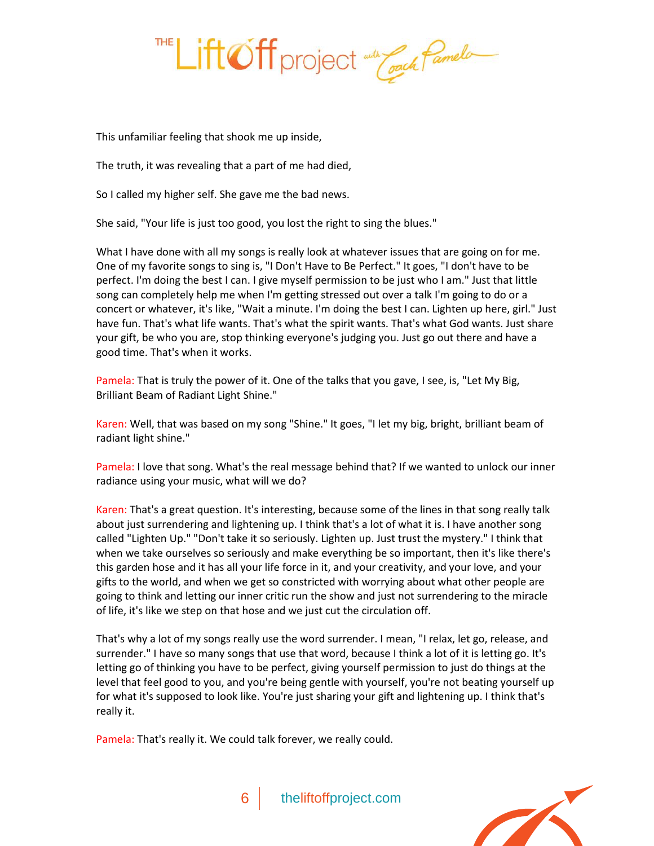

This unfamiliar feeling that shook me up inside,

The truth, it was revealing that a part of me had died,

So I called my higher self. She gave me the bad news.

She said, "Your life is just too good, you lost the right to sing the blues."

What I have done with all my songs is really look at whatever issues that are going on for me. One of my favorite songs to sing is, "I Don't Have to Be Perfect." It goes, "I don't have to be perfect. I'm doing the best I can. I give myself permission to be just who I am." Just that little song can completely help me when I'm getting stressed out over a talk I'm going to do or a concert or whatever, it's like, "Wait a minute. I'm doing the best I can. Lighten up here, girl." Just have fun. That's what life wants. That's what the spirit wants. That's what God wants. Just share your gift, be who you are, stop thinking everyone's judging you. Just go out there and have a good time. That's when it works.

Pamela: That is truly the power of it. One of the talks that you gave, I see, is, "Let My Big, Brilliant Beam of Radiant Light Shine."

Karen: Well, that was based on my song "Shine." It goes, "I let my big, bright, brilliant beam of radiant light shine."

Pamela: I love that song. What's the real message behind that? If we wanted to unlock our inner radiance using your music, what will we do?

Karen: That's a great question. It's interesting, because some of the lines in that song really talk about just surrendering and lightening up. I think that's a lot of what it is. I have another song called "Lighten Up." "Don't take it so seriously. Lighten up. Just trust the mystery." I think that when we take ourselves so seriously and make everything be so important, then it's like there's this garden hose and it has all your life force in it, and your creativity, and your love, and your gifts to the world, and when we get so constricted with worrying about what other people are going to think and letting our inner critic run the show and just not surrendering to the miracle of life, it's like we step on that hose and we just cut the circulation off.

That's why a lot of my songs really use the word surrender. I mean, "I relax, let go, release, and surrender." I have so many songs that use that word, because I think a lot of it is letting go. It's letting go of thinking you have to be perfect, giving yourself permission to just do things at the level that feel good to you, and you're being gentle with yourself, you're not beating yourself up for what it's supposed to look like. You're just sharing your gift and lightening up. I think that's really it.

Pamela: That's really it. We could talk forever, we really could.

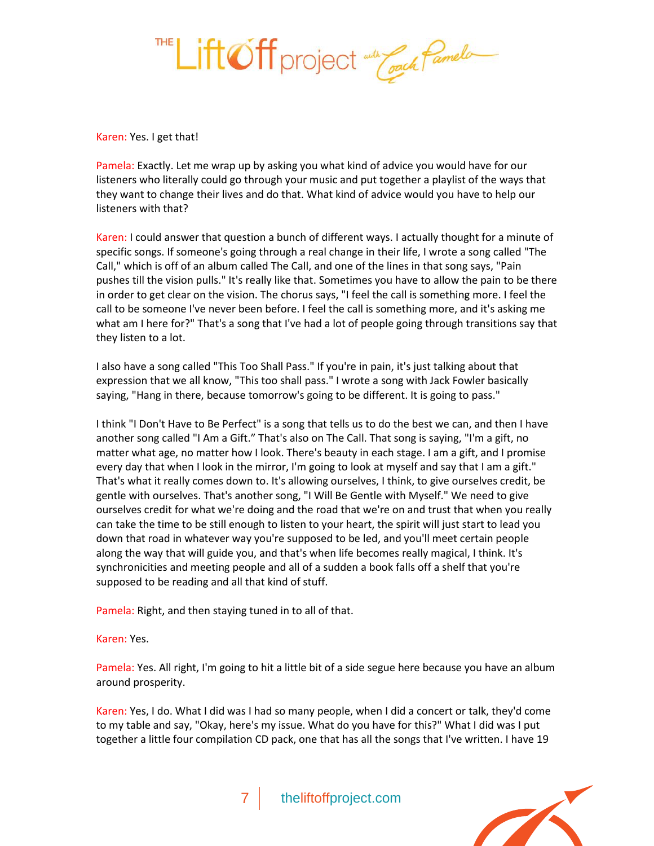

Karen: Yes. I get that!

Pamela: Exactly. Let me wrap up by asking you what kind of advice you would have for our listeners who literally could go through your music and put together a playlist of the ways that they want to change their lives and do that. What kind of advice would you have to help our listeners with that?

Karen: I could answer that question a bunch of different ways. I actually thought for a minute of specific songs. If someone's going through a real change in their life, I wrote a song called "The Call," which is off of an album called The Call, and one of the lines in that song says, "Pain pushes till the vision pulls." It's really like that. Sometimes you have to allow the pain to be there in order to get clear on the vision. The chorus says, "I feel the call is something more. I feel the call to be someone I've never been before. I feel the call is something more, and it's asking me what am I here for?" That's a song that I've had a lot of people going through transitions say that they listen to a lot.

I also have a song called "This Too Shall Pass." If you're in pain, it's just talking about that expression that we all know, "This too shall pass." I wrote a song with Jack Fowler basically saying, "Hang in there, because tomorrow's going to be different. It is going to pass."

I think "I Don't Have to Be Perfect" is a song that tells us to do the best we can, and then I have another song called "I Am a Gift." That's also on The Call. That song is saying, "I'm a gift, no matter what age, no matter how I look. There's beauty in each stage. I am a gift, and I promise every day that when I look in the mirror, I'm going to look at myself and say that I am a gift." That's what it really comes down to. It's allowing ourselves, I think, to give ourselves credit, be gentle with ourselves. That's another song, "I Will Be Gentle with Myself." We need to give ourselves credit for what we're doing and the road that we're on and trust that when you really can take the time to be still enough to listen to your heart, the spirit will just start to lead you down that road in whatever way you're supposed to be led, and you'll meet certain people along the way that will guide you, and that's when life becomes really magical, I think. It's synchronicities and meeting people and all of a sudden a book falls off a shelf that you're supposed to be reading and all that kind of stuff.

Pamela: Right, and then staying tuned in to all of that.

Karen: Yes.

Pamela: Yes. All right, I'm going to hit a little bit of a side segue here because you have an album around prosperity.

Karen: Yes, I do. What I did was I had so many people, when I did a concert or talk, they'd come to my table and say, "Okay, here's my issue. What do you have for this?" What I did was I put together a little four compilation CD pack, one that has all the songs that I've written. I have 19

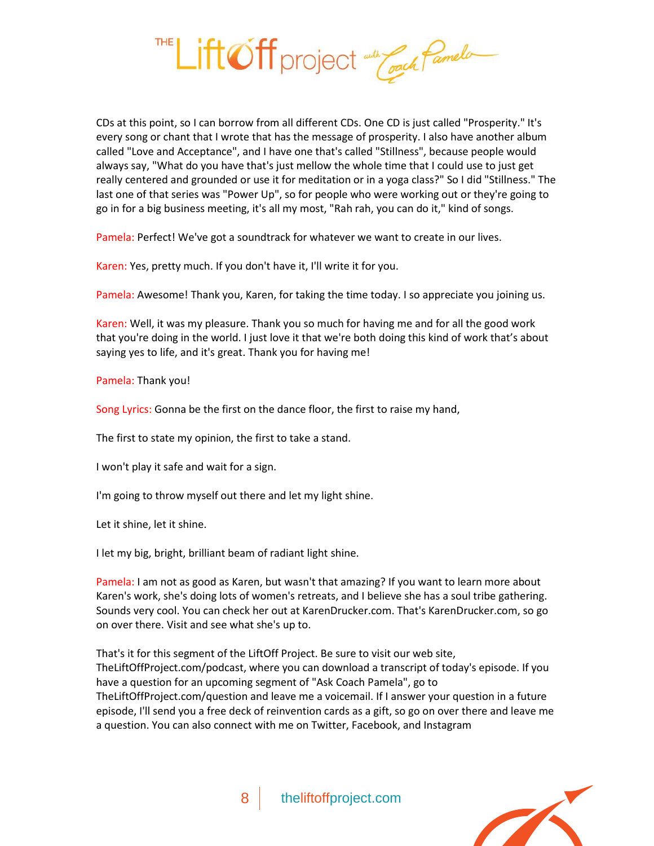

CDs at this point, so I can borrow from all different CDs. One CD is just called "Prosperity." It's every song or chant that I wrote that has the message of prosperity. I also have another album called "Love and Acceptance", and I have one that's called "Stillness", because people would always say, "What do you have that's just mellow the whole time that I could use to just get really centered and grounded or use it for meditation or in a yoga class?" So I did "Stillness." The last one of that series was "Power Up", so for people who were working out or they're going to go in for a big business meeting, it's all my most, "Rah rah, you can do it," kind of songs.

Pamela: Perfect! We've got a soundtrack for whatever we want to create in our lives.

Karen: Yes, pretty much. If you don't have it, I'll write it for you.

Pamela: Awesome! Thank you, Karen, for taking the time today. I so appreciate you joining us.

Karen: Well, it was my pleasure. Thank you so much for having me and for all the good work that you're doing in the world. I just love it that we're both doing this kind of work that's about saying yes to life, and it's great. Thank you for having me!

Pamela: Thank you!

Song Lyrics: Gonna be the first on the dance floor, the first to raise my hand,

The first to state my opinion, the first to take a stand.

I won't play it safe and wait for a sign.

I'm going to throw myself out there and let my light shine.

Let it shine, let it shine.

I let my big, bright, brilliant beam of radiant light shine.

Pamela: I am not as good as Karen, but wasn't that amazing? If you want to learn more about Karen's work, she's doing lots of women's retreats, and I believe she has a soul tribe gathering. Sounds very cool. You can check her out at KarenDrucker.com. That's KarenDrucker.com, so go on over there. Visit and see what she's up to.

That's it for this segment of the LiftOff Project. Be sure to visit our web site, TheLiftOffProject.com/podcast, where you can download a transcript of today's episode. If you have a question for an upcoming segment of "Ask Coach Pamela", go to TheLiftOffProject.com/question and leave me a voicemail. If I answer your question in a future episode, I'll send you a free deck of reinvention cards as a gift, so go on over there and leave me a question. You can also connect with me on Twitter, Facebook, and Instagram